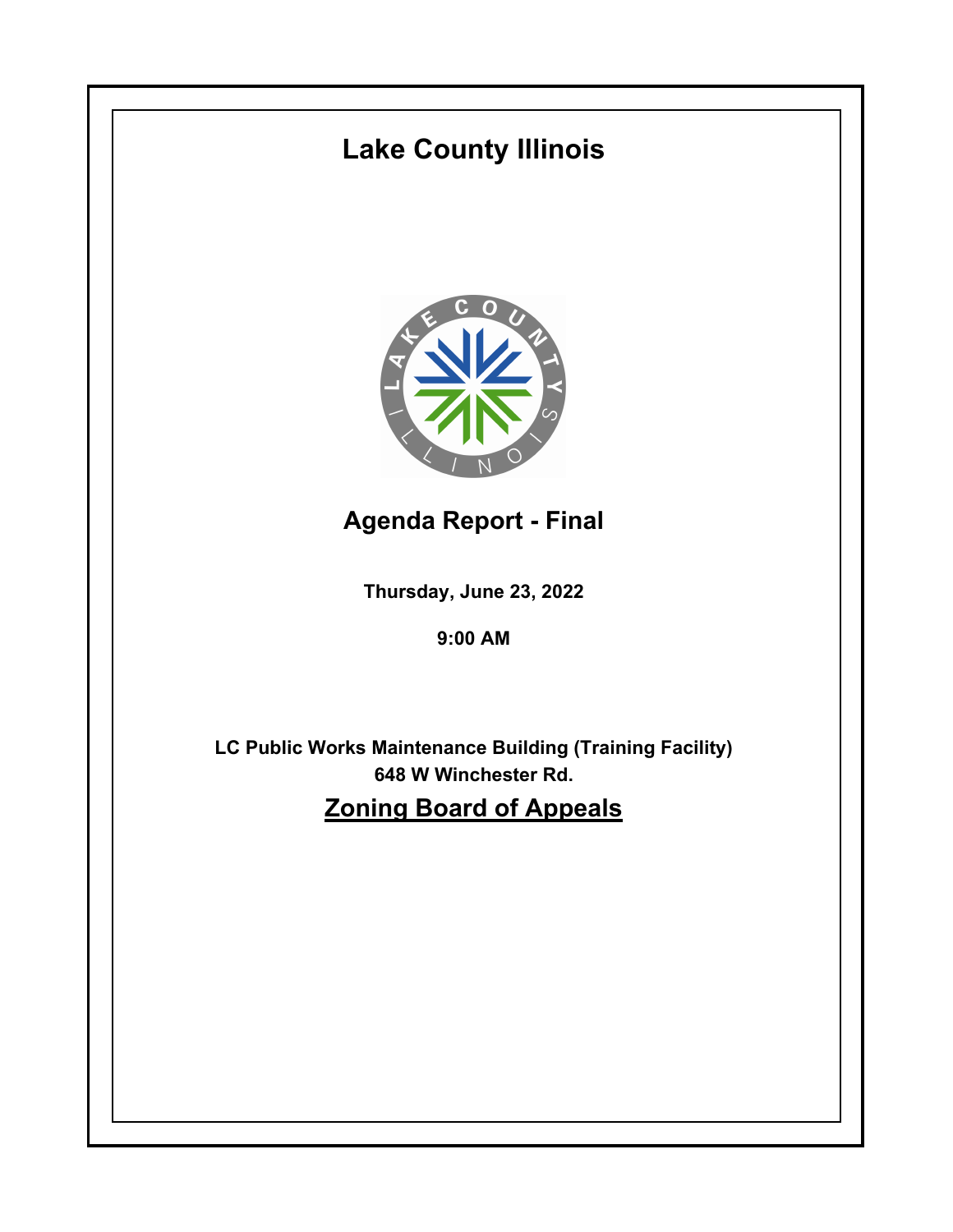